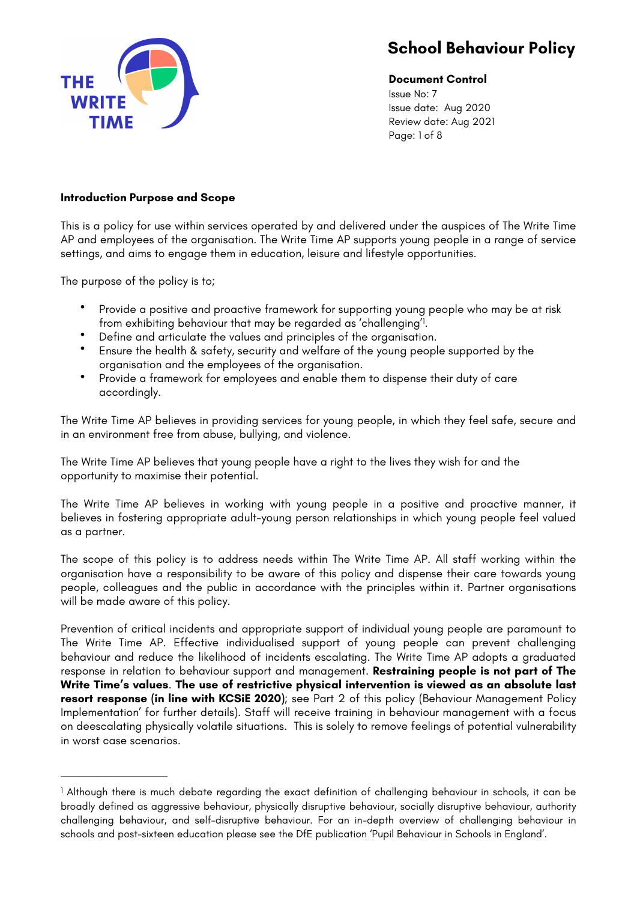

<span id="page-0-1"></span>**Document Control** Issue No: 7 Issue date: Aug 2020 Review date: Aug 2021 Page: 1 of 8

#### **Introduction Purpose and Scope**

This is a policy for use within services operated by and delivered under the auspices of The Write Time AP and employees of the organisation. The Write Time AP supports young people in a range of service settings, and aims to engage them in education, leisure and lifestyle opportunities.

The purpose of the policy is to;

- Provide a positive and proactive framework for supporting young people who may be at risk from exhibiting behaviour that may be regarded as 'challenging'!.
- Define and articulate the values and principles of the organisation.
- Ensure the health & safety, security and welfare of the young people supported by the organisation and the employees of the organisation.
- Provide a framework for employees and enable them to dispense their duty of care accordingly.

The Write Time AP believes in providing services for young people, in which they feel safe, secure and in an environment free from abuse, bullying, and violence.

The Write Time AP believes that young people have a right to the lives they wish for and the opportunity to maximise their potential.

The Write Time AP believes in working with young people in a positive and proactive manner, it believes in fostering appropriate adult-young person relationships in which young people feel valued as a partner.

The scope of this policy is to address needs within The Write Time AP. All staff working within the organisation have a responsibility to be aware of this policy and dispense their care towards young people, colleagues and the public in accordance with the principles within it. Partner organisations will be made aware of this policy.

Prevention of critical incidents and appropriate support of individual young people are paramount to The Write Time AP. Effective individualised support of young people can prevent challenging behaviour and reduce the likelihood of incidents escalating. The Write Time AP adopts a graduated response in relation to behaviour support and management. **Restraining people is not part of The Write Time's values**. **The use of restrictive physical intervention is viewed as an absolute last resort response (in line with KCSiE 2020)**; see Part 2 of this policy (Behaviour Management Policy Implementation' for further details). Staff will receive training in behaviour management with a focus on deescalating physically volatile situations. This is solely to remove feelings of potential vulnerability in worst case scenarios.

<span id="page-0-0"></span><sup>&</sup>lt;sup>1</sup>Although there is much debate regarding the exact definition of challenging behaviour in schools, it can be broadly defined as aggressive behaviour, physically disruptive behaviour, socially disruptive behaviour, authority challenging behaviour, and self-disruptive behaviour. For an in-depth overview of challenging behaviour in schools and post-sixteen education please see the DfE publication 'Pupil Behaviour in Schools in England'.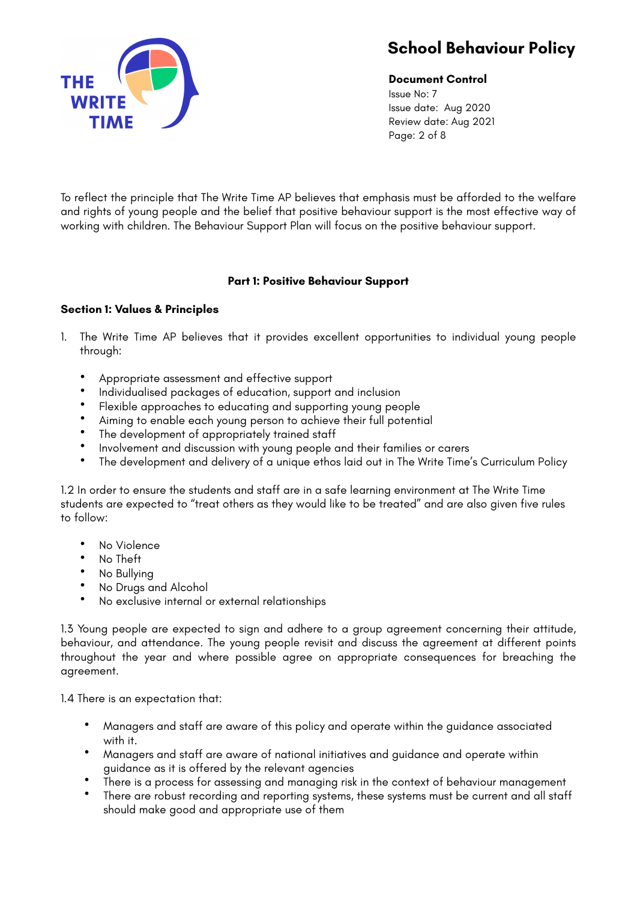

**Document Control** Issue No: 7 Issue date: Aug 2020 Review date: Aug 2021 Page: 2 of 8

To reflect the principle that The Write Time AP believes that emphasis must be afforded to the welfare and rights of young people and the belief that positive behaviour support is the most effective way of working with children. The Behaviour Support Plan will focus on the positive behaviour support.

### **Part 1: Positive Behaviour Support**

#### **Section 1: Values & Principles**

- 1. The Write Time AP believes that it provides excellent opportunities to individual young people through:
	- Appropriate assessment and effective support
	- Individualised packages of education, support and inclusion<br>• Elevible approaches to educating and supporting young peo
	- Flexible approaches to educating and supporting young people<br>• Aiming to anghle each young person to achieve their full potenti
	- Aiming to enable each young person to achieve their full potential
	- The development of appropriately trained staff
	- Involvement and discussion with young people and their families or carers
	- The development and delivery of a unique ethos laid out in The Write Time's Curriculum Policy

1.2 In order to ensure the students and staff are in a safe learning environment at The Write Time students are expected to "treat others as they would like to be treated" and are also given five rules to follow:

- No Violence<br>• No Theft
- No Theft
- No Bullying
- No Drugs and Alcohol
- No exclusive internal or external relationships

1.3 Young people are expected to sign and adhere to a group agreement concerning their attitude, behaviour, and attendance. The young people revisit and discuss the agreement at different points throughout the year and where possible agree on appropriate consequences for breaching the agreement.

1.4 There is an expectation that:

- Managers and staff are aware of this policy and operate within the guidance associated with it.
- Managers and staff are aware of national initiatives and guidance and operate within guidance as it is offered by the relevant agencies
- There is a process for assessing and managing risk in the context of behaviour management
- There are robust recording and reporting systems, these systems must be current and all staff should make good and appropriate use of them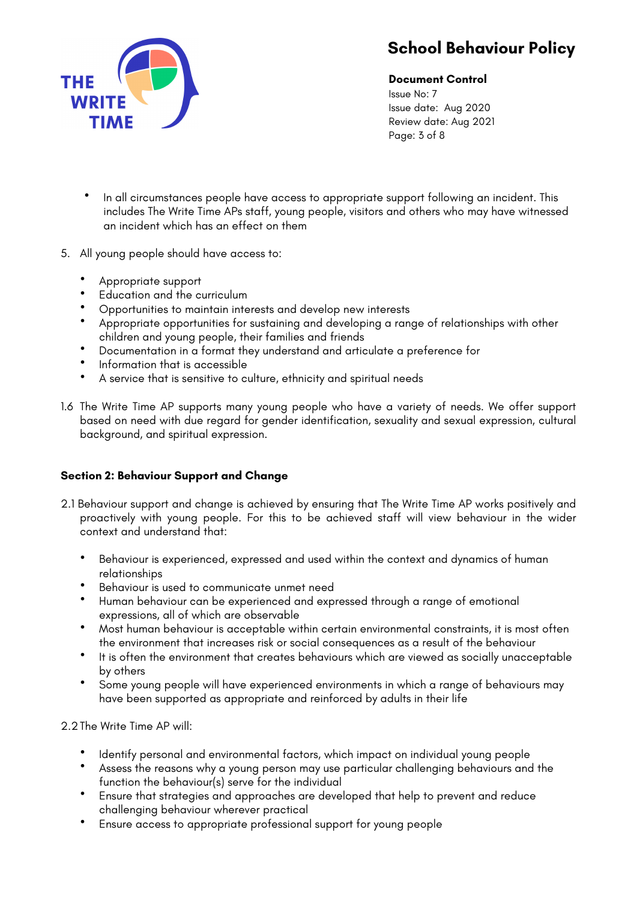

**Document Control**

Issue No: 7 Issue date: Aug 2020 Review date: Aug 2021 Page: 3 of 8

- In all circumstances people have access to appropriate support following an incident. This includes The Write Time APs staff, young people, visitors and others who may have witnessed an incident which has an effect on them
- 5. All young people should have access to:
	- Appropriate support<br>• Education and the or
	- Education and the curriculum
	- Opportunities to maintain interests and develop new interests
	- Appropriate opportunities for sustaining and developing a range of relationships with other children and young people, their families and friends
	- Documentation in a format they understand and articulate a preference for
	- Information that is accessible
	- A service that is sensitive to culture, ethnicity and spiritual needs
- 1.6 The Write Time AP supports many young people who have a variety of needs. We offer support based on need with due regard for gender identification, sexuality and sexual expression, cultural background, and spiritual expression.

### **Section 2: Behaviour Support and Change**

- 2.1 Behaviour support and change is achieved by ensuring that The Write Time AP works positively and proactively with young people. For this to be achieved staff will view behaviour in the wider context and understand that:
	- Behaviour is experienced, expressed and used within the context and dynamics of human relationships
	- Behaviour is used to communicate unmet need
	- Human behaviour can be experienced and expressed through a range of emotional expressions, all of which are observable
	- Most human behaviour is acceptable within certain environmental constraints, it is most often the environment that increases risk or social consequences as a result of the behaviour
	- It is often the environment that creates behaviours which are viewed as socially unacceptable by others
	- Some young people will have experienced environments in which a range of behaviours may have been supported as appropriate and reinforced by adults in their life

2.2 The Write Time AP will:

- Identify personal and environmental factors, which impact on individual young people
- Assess the reasons why a young person may use particular challenging behaviours and the function the behaviour(s) serve for the individual
- Ensure that strategies and approaches are developed that help to prevent and reduce challenging behaviour wherever practical
- Ensure access to appropriate professional support for young people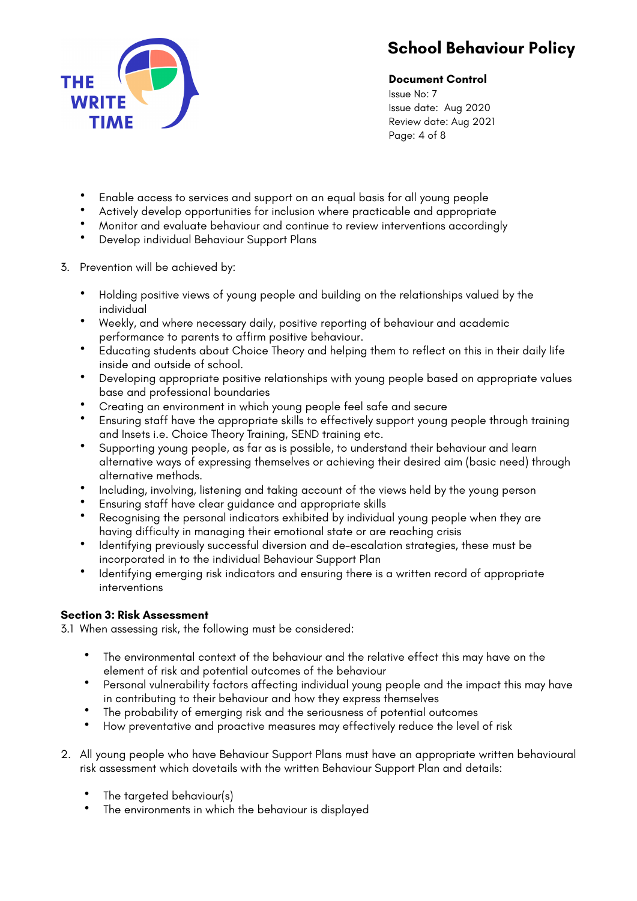

**Document Control**

Issue No: 7 Issue date: Aug 2020 Review date: Aug 2021 Page: 4 of 8

- Enable access to services and support on an equal basis for all young people
- Actively develop opportunities for inclusion where practicable and appropriate<br>• Moniter and evaluate behaviour and continue to review interventions accordina
- Monitor and evaluate behaviour and continue to review interventions accordingly
- Develop individual Behaviour Support Plans
- 3. Prevention will be achieved by:
	- Holding positive views of young people and building on the relationships valued by the individual
	- Weekly, and where necessary daily, positive reporting of behaviour and academic performance to parents to affirm positive behaviour.
	- Educating students about Choice Theory and helping them to reflect on this in their daily life inside and outside of school.
	- Developing appropriate positive relationships with young people based on appropriate values base and professional boundaries
	- Creating an environment in which young people feel safe and secure
	- Ensuring staff have the appropriate skills to effectively support young people through training and Insets i.e. Choice Theory Training, SEND training etc.
	- Supporting young people, as far as is possible, to understand their behaviour and learn alternative ways of expressing themselves or achieving their desired aim (basic need) through alternative methods.
	- Including, involving, listening and taking account of the views held by the young person
	- Ensuring staff have clear guidance and appropriate skills
	- Recognising the personal indicators exhibited by individual young people when they are having difficulty in managing their emotional state or are reaching crisis
	- Identifying previously successful diversion and de-escalation strategies, these must be incorporated in to the individual Behaviour Support Plan
	- Identifying emerging risk indicators and ensuring there is a written record of appropriate interventions

### **Section 3: Risk Assessment**

3.1 When assessing risk, the following must be considered:

- The environmental context of the behaviour and the relative effect this may have on the element of risk and potential outcomes of the behaviour
- Personal vulnerability factors affecting individual young people and the impact this may have in contributing to their behaviour and how they express themselves
- The probability of emerging risk and the seriousness of potential outcomes
- How preventative and proactive measures may effectively reduce the level of risk
- 2. All young people who have Behaviour Support Plans must have an appropriate written behavioural risk assessment which dovetails with the written Behaviour Support Plan and details:
	- The targeted behaviour(s)
	- The environments in which the behaviour is displayed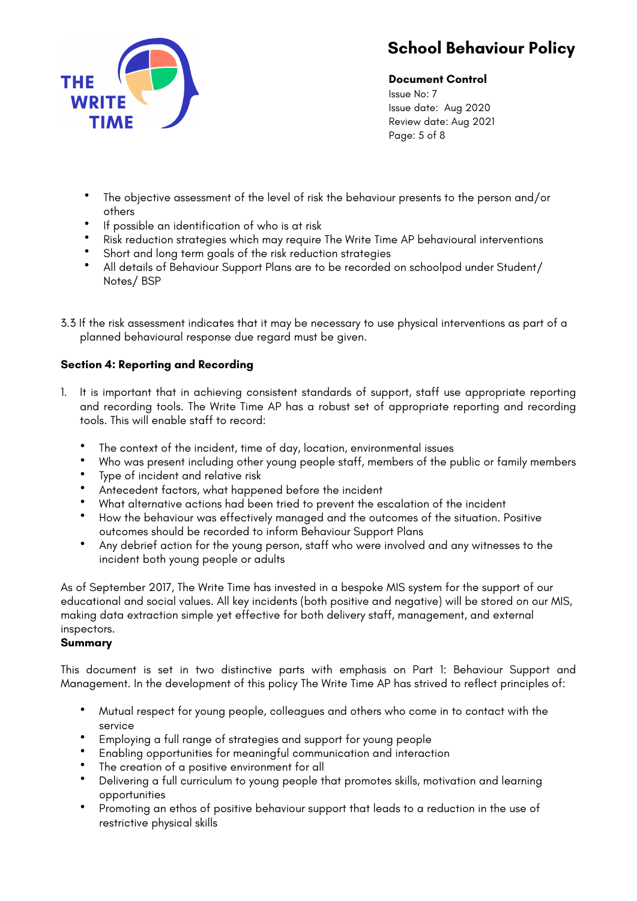

**Document Control**

Issue No: 7 Issue date: Aug 2020 Review date: Aug 2021 Page: 5 of 8

- The objective assessment of the level of risk the behaviour presents to the person and/or others
- If possible an identification of who is at risk
- Risk reduction strategies which may require The Write Time AP behavioural interventions
- Short and long term goals of the risk reduction strategies
- All details of Behaviour Support Plans are to be recorded on schoolpod under Student/ Notes/ BSP
- 3.3 If the risk assessment indicates that it may be necessary to use physical interventions as part of a planned behavioural response due regard must be given.

### **Section 4: Reporting and Recording**

- 1. It is important that in achieving consistent standards of support, staff use appropriate reporting and recording tools. The Write Time AP has a robust set of appropriate reporting and recording tools. This will enable staff to record:
	- The context of the incident, time of day, location, environmental issues
	- Who was present including other young people staff, members of the public or family members<br>• Type of incident and relative risk
	- Type of incident and relative risk<br>• Antecedent factors what happe
	- Antecedent factors, what happened before the incident
	- What alternative actions had been tried to prevent the escalation of the incident
	- How the behaviour was effectively managed and the outcomes of the situation. Positive outcomes should be recorded to inform Behaviour Support Plans
	- Any debrief action for the young person, staff who were involved and any witnesses to the incident both young people or adults

As of September 2017, The Write Time has invested in a bespoke MIS system for the support of our educational and social values. All key incidents (both positive and negative) will be stored on our MIS, making data extraction simple yet effective for both delivery staff, management, and external inspectors.

#### **Summary**

This document is set in two distinctive parts with emphasis on Part 1: Behaviour Support and Management. In the development of this policy The Write Time AP has strived to reflect principles of:

- Mutual respect for young people, colleagues and others who come in to contact with the service
- Employing a full range of strategies and support for young people
- Enabling opportunities for meaningful communication and interaction
- The creation of a positive environment for all<br>• Delivering a full curriculum to young people the
- Delivering a full curriculum to young people that promotes skills, motivation and learning opportunities
- Promoting an ethos of positive behaviour support that leads to a reduction in the use of restrictive physical skills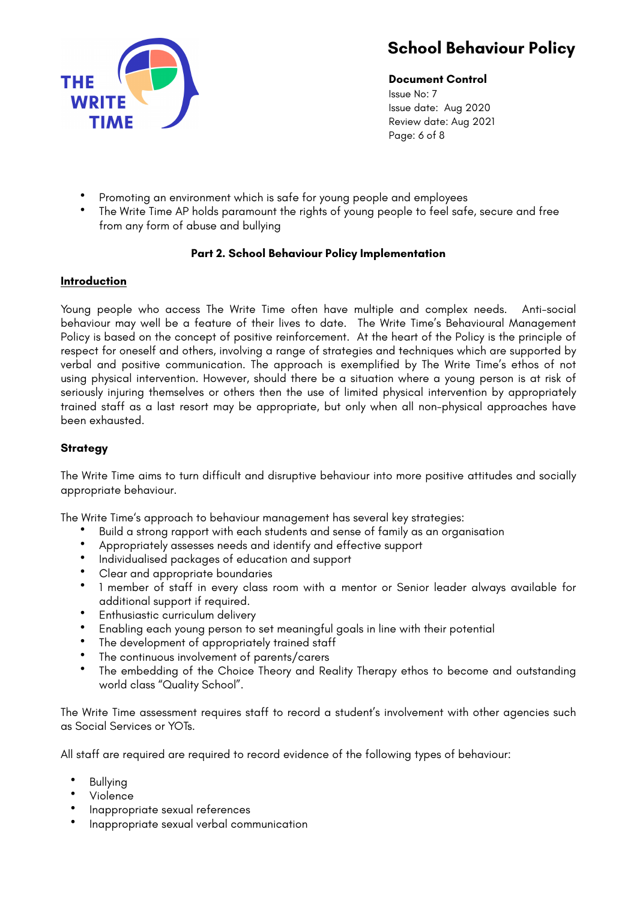

**Document Control** Issue No: 7 Issue date: Aug 2020 Review date: Aug 2021 Page: 6 of 8

- Promoting an environment which is safe for young people and employees
- The Write Time AP holds paramount the rights of young people to feel safe, secure and free from any form of abuse and bullying

### **Part 2. School Behaviour Policy Implementation**

#### **Introduction**

Young people who access The Write Time often have multiple and complex needs. Anti-social behaviour may well be a feature of their lives to date. The Write Time's Behavioural Management Policy is based on the concept of positive reinforcement. At the heart of the Policy is the principle of respect for oneself and others, involving a range of strategies and techniques which are supported by verbal and positive communication. The approach is exemplified by The Write Time's ethos of not using physical intervention. However, should there be a situation where a young person is at risk of seriously injuring themselves or others then the use of limited physical intervention by appropriately trained staff as a last resort may be appropriate, but only when all non-physical approaches have been exhausted.

#### **Strategy**

The Write Time aims to turn difficult and disruptive behaviour into more positive attitudes and socially appropriate behaviour.

The Write Time's approach to behaviour management has several key strategies:

- Build a strong rapport with each students and sense of family as an organisation
- Appropriately assesses needs and identify and effective support
- Individualised packages of education and support
- Clear and appropriate boundaries<br>• 1 member of staff in every class i
- 1 member of staff in every class room with a mentor or Senior leader always available for additional support if required.
- Enthusiastic curriculum delivery
- Enabling each young person to set meaningful goals in line with their potential
- The development of appropriately trained staff
- The continuous involvement of parents/carers
- The embedding of the Choice Theory and Reality Therapy ethos to become and outstanding world class "Quality School".

The Write Time assessment requires staff to record a student's involvement with other agencies such as Social Services or YOTs.

All staff are required are required to record evidence of the following types of behaviour:

- Bullying
- Violence
- Inappropriate sexual references
- Inappropriate sexual verbal communication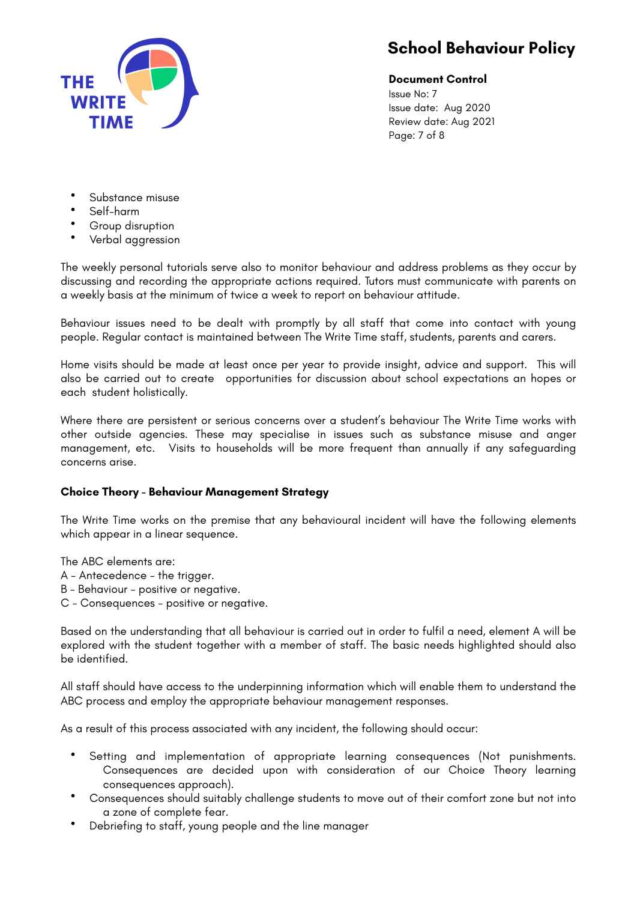

### **Document Control**

Issue No: 7 Issue date: Aug 2020 Review date: Aug 2021 Page: 7 of 8

- Substance misuse
- Self-harm
- Group disruption
- Verbal aggression

The weekly personal tutorials serve also to monitor behaviour and address problems as they occur by discussing and recording the appropriate actions required. Tutors must communicate with parents on a weekly basis at the minimum of twice a week to report on behaviour attitude.

Behaviour issues need to be dealt with promptly by all staff that come into contact with young people. Regular contact is maintained between The Write Time staff, students, parents and carers.

Home visits should be made at least once per year to provide insight, advice and support. This will also be carried out to create opportunities for discussion about school expectations an hopes or each student holistically.

Where there are persistent or serious concerns over a student's behaviour The Write Time works with other outside agencies. These may specialise in issues such as substance misuse and anger management, etc. Visits to households will be more frequent than annually if any safeguarding concerns arise.

### **Choice Theory - Behaviour Management Strategy**

The Write Time works on the premise that any behavioural incident will have the following elements which appear in a linear sequence.

The ABC elements are:

- A Antecedence the trigger.
- B Behaviour positive or negative.
- C Consequences positive or negative.

Based on the understanding that all behaviour is carried out in order to fulfil a need, element A will be explored with the student together with a member of staff. The basic needs highlighted should also be identified.

All staff should have access to the underpinning information which will enable them to understand the ABC process and employ the appropriate behaviour management responses.

As a result of this process associated with any incident, the following should occur:

- Setting and implementation of appropriate learning consequences (Not punishments. Consequences are decided upon with consideration of our Choice Theory learning consequences approach).
- Consequences should suitably challenge students to move out of their comfort zone but not into a zone of complete fear.
- Debriefing to staff, young people and the line manager